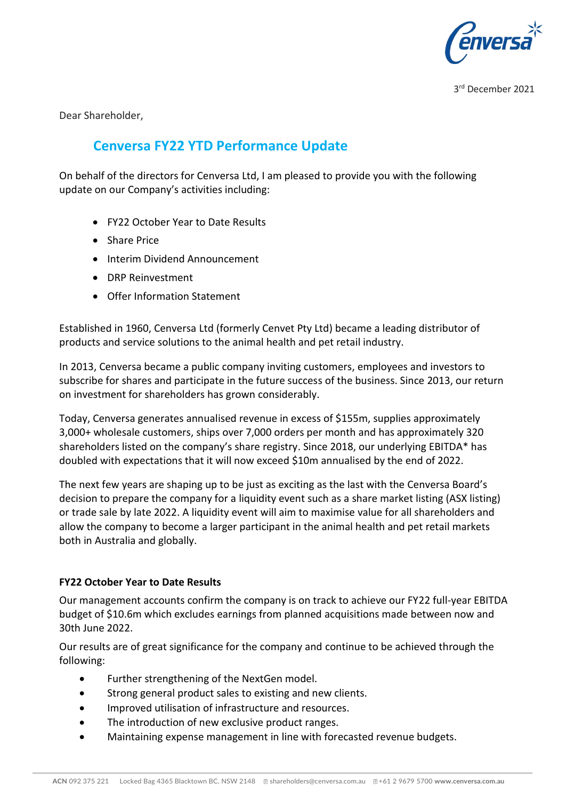

3 rd December 2021

Dear Shareholder,

# **Cenversa FY22 YTD Performance Update**

On behalf of the directors for Cenversa Ltd, I am pleased to provide you with the following update on our Company's activities including:

- FY22 October Year to Date Results
- Share Price
- Interim Dividend Announcement
- DRP Reinvestment
- Offer Information Statement

Established in 1960, Cenversa Ltd (formerly Cenvet Pty Ltd) became a leading distributor of products and service solutions to the animal health and pet retail industry.

In 2013, Cenversa became a public company inviting customers, employees and investors to subscribe for shares and participate in the future success of the business. Since 2013, our return on investment for shareholders has grown considerably.

Today, Cenversa generates annualised revenue in excess of \$155m, supplies approximately 3,000+ wholesale customers, ships over 7,000 orders per month and has approximately 320 shareholders listed on the company's share registry. Since 2018, our underlying EBITDA\* has doubled with expectations that it will now exceed \$10m annualised by the end of 2022.

The next few years are shaping up to be just as exciting as the last with the Cenversa Board's decision to prepare the company for a liquidity event such as a share market listing (ASX listing) or trade sale by late 2022. A liquidity event will aim to maximise value for all shareholders and allow the company to become a larger participant in the animal health and pet retail markets both in Australia and globally.

#### **FY22 October Year to Date Results**

Our management accounts confirm the company is on track to achieve our FY22 full-year EBITDA budget of \$10.6m which excludes earnings from planned acquisitions made between now and 30th June 2022.

Our results are of great significance for the company and continue to be achieved through the following:

- Further strengthening of the NextGen model.
- Strong general product sales to existing and new clients.
- Improved utilisation of infrastructure and resources.
- The introduction of new exclusive product ranges.
- Maintaining expense management in line with forecasted revenue budgets.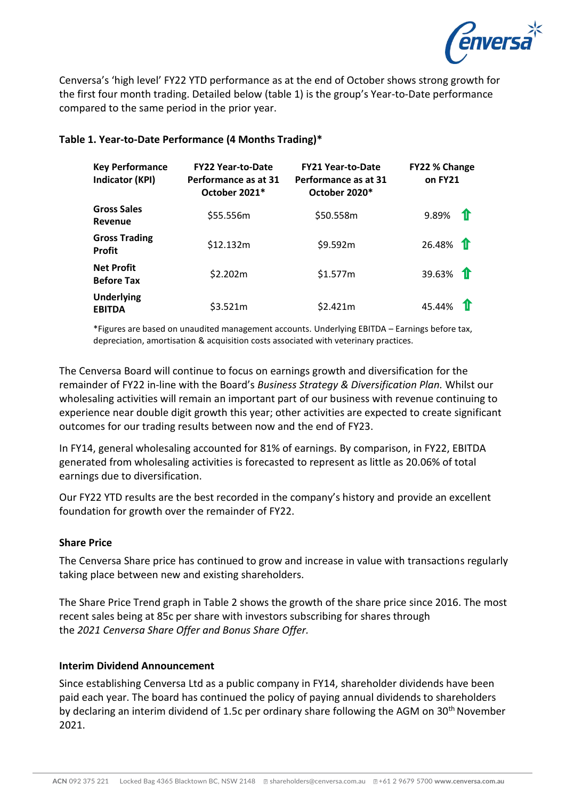

Cenversa's 'high level' FY22 YTD performance as at the end of October shows strong growth for the first four month trading. Detailed below (table 1) is the group's Year-to-Date performance compared to the same period in the prior year.

### **Table 1. Year-to-Date Performance (4 Months Trading)\***

| <b>Key Performance</b><br>Indicator (KPI) | <b>FY22 Year-to-Date</b><br>Performance as at 31<br>October 2021* | <b>FY21 Year-to-Date</b><br>Performance as at 31<br>October 2020* | FY22 % Change<br>on FY21 |
|-------------------------------------------|-------------------------------------------------------------------|-------------------------------------------------------------------|--------------------------|
| <b>Gross Sales</b><br>Revenue             | \$55.556m                                                         | \$50.558m                                                         | 9.89%<br>$\mathbf{T}$    |
| <b>Gross Trading</b><br><b>Profit</b>     | \$12.132m                                                         | \$9.592m                                                          | 26.48%                   |
| <b>Net Profit</b><br><b>Before Tax</b>    | \$2.202m                                                          | \$1.577m                                                          | 39.63% <b>1</b>          |
| <b>Underlying</b><br><b>EBITDA</b>        | \$3.521m                                                          | \$2.421m                                                          | 45.44%                   |

\*Figures are based on unaudited management accounts. Underlying EBITDA – Earnings before tax, depreciation, amortisation & acquisition costs associated with veterinary practices.

The Cenversa Board will continue to focus on earnings growth and diversification for the remainder of FY22 in-line with the Board's *Business Strategy & Diversification Plan.* Whilst our wholesaling activities will remain an important part of our business with revenue continuing to experience near double digit growth this year; other activities are expected to create significant outcomes for our trading results between now and the end of FY23.

In FY14, general wholesaling accounted for 81% of earnings. By comparison, in FY22, EBITDA generated from wholesaling activities is forecasted to represent as little as 20.06% of total earnings due to diversification.

Our FY22 YTD results are the best recorded in the company's history and provide an excellent foundation for growth over the remainder of FY22.

#### **Share Price**

The Cenversa Share price has continued to grow and increase in value with transactions regularly taking place between new and existing shareholders.

The Share Price Trend graph in Table 2 shows the growth of the share price since 2016. The most recent sales being at 85c per share with investors subscribing for shares through the *2021 Cenversa Share Offer and Bonus Share Offer.*

#### **Interim Dividend Announcement**

Since establishing Cenversa Ltd as a public company in FY14, shareholder dividends have been paid each year. The board has continued the policy of paying annual dividends to shareholders by declaring an interim dividend of 1.5c per ordinary share following the AGM on 30<sup>th</sup> November 2021.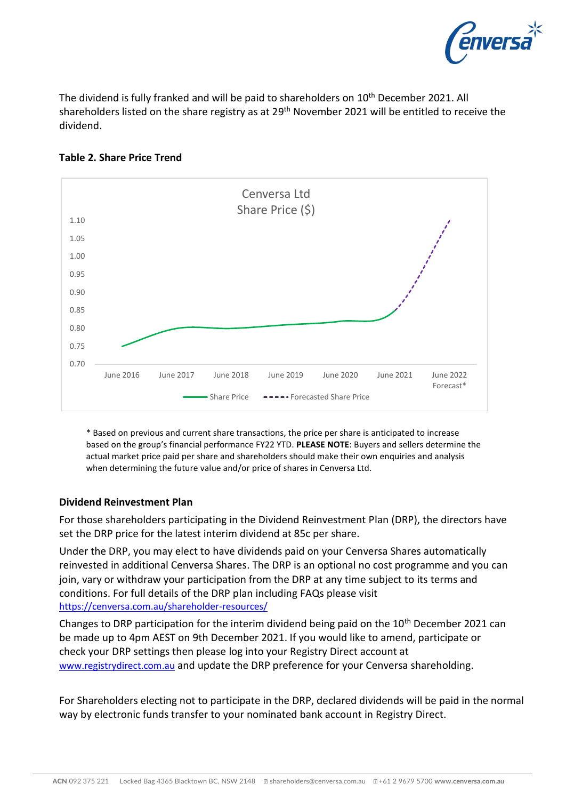

The dividend is fully franked and will be paid to shareholders on 10<sup>th</sup> December 2021. All shareholders listed on the share registry as at 29<sup>th</sup> November 2021 will be entitled to receive the dividend.



## **Table 2. Share Price Trend**

\* Based on previous and current share transactions, the price per share is anticipated to increase based on the group's financial performance FY22 YTD. **PLEASE NOTE**: Buyers and sellers determine the actual market price paid per share and shareholders should make their own enquiries and analysis when determining the future value and/or price of shares in Cenversa Ltd.

## **Dividend Reinvestment Plan**

For those shareholders participating in the Dividend Reinvestment Plan (DRP), the directors have set the DRP price for the latest interim dividend at 85c per share.

Under the DRP, you may elect to have dividends paid on your Cenversa Shares automatically reinvested in additional Cenversa Shares. The DRP is an optional no cost programme and you can join, vary or withdraw your participation from the DRP at any time subject to its terms and conditions. For full details of the DRP plan including FAQs please visit <https://cenversa.com.au/shareholder-resources/>

Changes to DRP participation for the interim dividend being paid on the 10<sup>th</sup> December 2021 can be made up to 4pm AEST on 9th December 2021. If you would like to amend, participate or check your DRP settings then please log into your Registry Direct account at [www.registrydirect.com.au](http://www.registrydirect.com.au/) and update the DRP preference for your Cenversa shareholding.

For Shareholders electing not to participate in the DRP, declared dividends will be paid in the normal way by electronic funds transfer to your nominated bank account in Registry Direct.